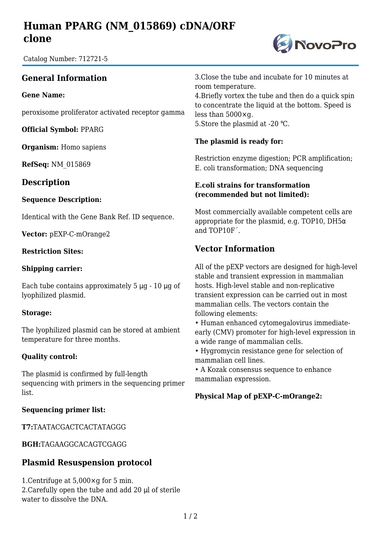# **Human PPARG (NM\_015869) cDNA/ORF clone**

Catalog Number: 712721-5

## **General Information**

**Gene Name:**

peroxisome proliferator activated receptor gamma

**Official Symbol:** PPARG

**Organism:** Homo sapiens

**RefSeq:** NM\_015869

### **Description**

#### **Sequence Description:**

Identical with the Gene Bank Ref. ID sequence.

**Vector:** pEXP-C-mOrange2

#### **Restriction Sites:**

#### **Shipping carrier:**

Each tube contains approximately  $5 \mu g - 10 \mu g$  of lyophilized plasmid.

#### **Storage:**

The lyophilized plasmid can be stored at ambient temperature for three months.

#### **Quality control:**

The plasmid is confirmed by full-length sequencing with primers in the sequencing primer list.

#### **Sequencing primer list:**

**T7:**TAATACGACTCACTATAGGG

**BGH:**TAGAAGGCACAGTCGAGG

### **Plasmid Resuspension protocol**

1.Centrifuge at 5,000×g for 5 min. 2.Carefully open the tube and add 20 μl of sterile water to dissolve the DNA.

3.Close the tube and incubate for 10 minutes at room temperature.

4.Briefly vortex the tube and then do a quick spin to concentrate the liquid at the bottom. Speed is less than 5000×g. 5. Store the plasmid at -20 °C.

#### **The plasmid is ready for:**

Restriction enzyme digestion; PCR amplification; E. coli transformation; DNA sequencing

#### **E.coli strains for transformation (recommended but not limited):**

Most commercially available competent cells are appropriate for the plasmid, e.g. TOP10, DH5 $\alpha$ and TOP10F´.

## **Vector Information**

All of the pEXP vectors are designed for high-level stable and transient expression in mammalian hosts. High-level stable and non-replicative transient expression can be carried out in most mammalian cells. The vectors contain the following elements:

• Human enhanced cytomegalovirus immediateearly (CMV) promoter for high-level expression in a wide range of mammalian cells.

• Hygromycin resistance gene for selection of mammalian cell lines.

• A Kozak consensus sequence to enhance mammalian expression.

#### **Physical Map of pEXP-C-mOrange2:**